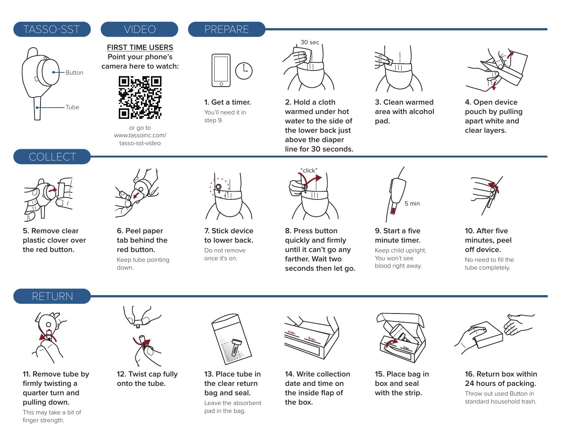#### TASSO-SST VIDEO REPARE

# Button Tube

### VIDEO

**FIRST TIME USERS Point your phone's camera here to watch:**



**1. Get a timer.** You'll need it in step 9.



**2. Hold a cloth warmed under hot water to the side of the lower back just above the diaper line for 30 seconds.**



**3. Clean warmed area with alcohol pad.**



**4. Open device pouch by pulling apart white and clear layers.**

### COLLECT



**5. Remove clear plastic clover over the red button.**



or go to www.tassoinc.com/ tasso-sst-video

**6. Peel paper tab behind the red button.** Keep tube pointing down.



**7. Stick device to lower back.** Do not remove once it's on.



**8. Press button quickly and firmly until it can't go any farther. Wait two seconds then let go.**



**9. Start a five minute timer.**  Keep child upright. You won't see blood right away.



**10. After five minutes, peel**  off device.

No need to fill the tube completely.

## RETURN



**11. Remove tube by firmly twisting a quarter turn and pulling down.**



**12. Twist cap fully onto the tube.**



**13. Place tube in the clear return bag and seal.**

pad in the bag.

Leave the absorbent



**14. Write collection date and time on the inside flap of the box.**



**15. Place bag in box and seal with the strip.**



#### **16. Return box within 24 hours of packing.**

Throw out used Button in standard household trash.

This may take a bit of finger strength.